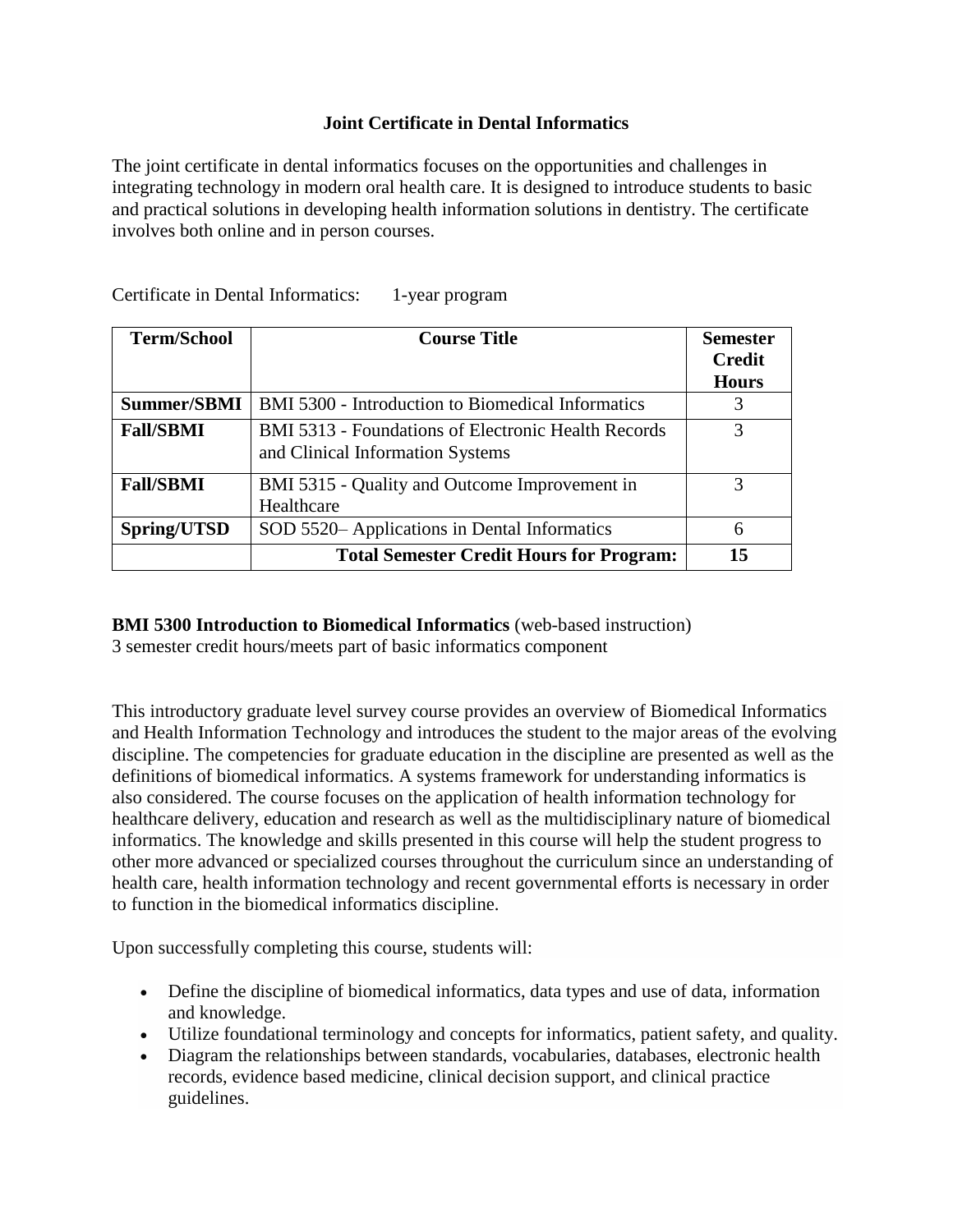# **Joint Certificate in Dental Informatics**

The joint certificate in dental informatics focuses on the opportunities and challenges in integrating technology in modern oral health care. It is designed to introduce students to basic and practical solutions in developing health information solutions in dentistry. The certificate involves both online and in person courses.

| <b>Term/School</b> | <b>Course Title</b>                                                                            | <b>Semester</b><br><b>Credit</b> |
|--------------------|------------------------------------------------------------------------------------------------|----------------------------------|
|                    |                                                                                                | <b>Hours</b>                     |
| <b>Summer/SBMI</b> | BMI 5300 - Introduction to Biomedical Informatics                                              |                                  |
| <b>Fall/SBMI</b>   | <b>BMI</b> 5313 - Foundations of Electronic Health Records<br>and Clinical Information Systems | 3                                |
| <b>Fall/SBMI</b>   | BMI 5315 - Quality and Outcome Improvement in<br>Healthcare                                    |                                  |
| Spring/UTSD        | SOD 5520– Applications in Dental Informatics                                                   | 6                                |
|                    | <b>Total Semester Credit Hours for Program:</b>                                                | 15                               |

Certificate in Dental Informatics: 1-year program

# **BMI 5300 Introduction to Biomedical Informatics** (web-based instruction)

3 semester credit hours/meets part of basic informatics component

This introductory graduate level survey course provides an overview of Biomedical Informatics and Health Information Technology and introduces the student to the major areas of the evolving discipline. The competencies for graduate education in the discipline are presented as well as the definitions of biomedical informatics. A systems framework for understanding informatics is also considered. The course focuses on the application of health information technology for healthcare delivery, education and research as well as the multidisciplinary nature of biomedical informatics. The knowledge and skills presented in this course will help the student progress to other more advanced or specialized courses throughout the curriculum since an understanding of health care, health information technology and recent governmental efforts is necessary in order to function in the biomedical informatics discipline.

Upon successfully completing this course, students will:

- Define the discipline of biomedical informatics, data types and use of data, information and knowledge.
- Utilize foundational terminology and concepts for informatics, patient safety, and quality.
- Diagram the relationships between standards, vocabularies, databases, electronic health records, evidence based medicine, clinical decision support, and clinical practice guidelines.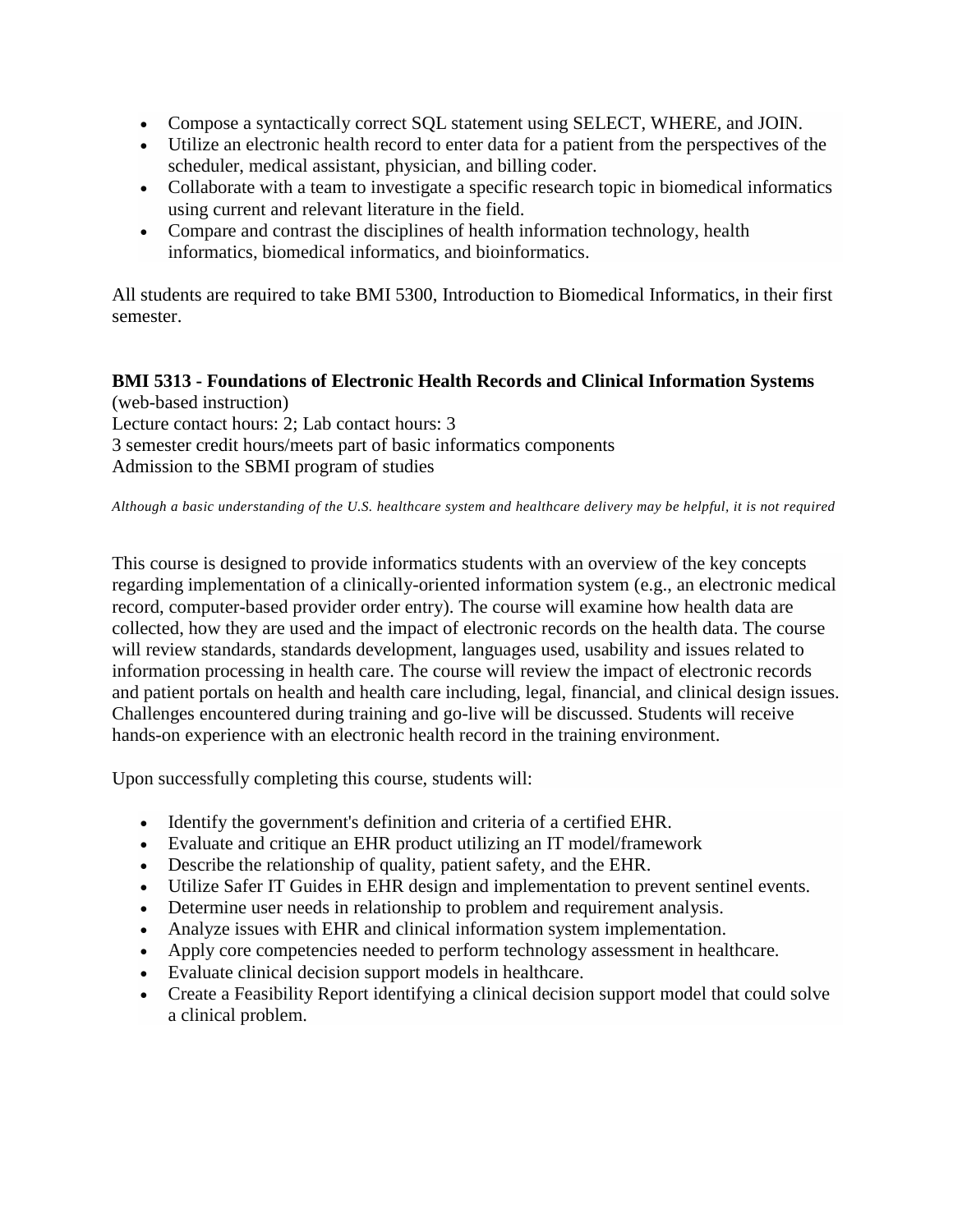- Compose a syntactically correct SQL statement using SELECT, WHERE, and JOIN.
- Utilize an electronic health record to enter data for a patient from the perspectives of the scheduler, medical assistant, physician, and billing coder.
- Collaborate with a team to investigate a specific research topic in biomedical informatics using current and relevant literature in the field.
- Compare and contrast the disciplines of health information technology, health informatics, biomedical informatics, and bioinformatics.

All students are required to take BMI 5300, Introduction to Biomedical Informatics, in their first semester.

### **BMI 5313 - Foundations of Electronic Health Records and Clinical Information Systems** (web-based instruction)

Lecture contact hours: 2; Lab contact hours: 3 3 semester credit hours/meets part of basic informatics components Admission to the SBMI program of studies

#### *Although a basic understanding of the U.S. healthcare system and healthcare delivery may be helpful, it is not required*

This course is designed to provide informatics students with an overview of the key concepts regarding implementation of a clinically-oriented information system (e.g., an electronic medical record, computer-based provider order entry). The course will examine how health data are collected, how they are used and the impact of electronic records on the health data. The course will review standards, standards development, languages used, usability and issues related to information processing in health care. The course will review the impact of electronic records and patient portals on health and health care including, legal, financial, and clinical design issues. Challenges encountered during training and go-live will be discussed. Students will receive hands-on experience with an electronic health record in the training environment.

Upon successfully completing this course, students will:

- Identify the government's definition and criteria of a certified EHR.
- Evaluate and critique an EHR product utilizing an IT model/framework
- Describe the relationship of quality, patient safety, and the EHR.
- Utilize Safer IT Guides in EHR design and implementation to prevent sentinel events.
- Determine user needs in relationship to problem and requirement analysis.
- Analyze issues with EHR and clinical information system implementation.
- Apply core competencies needed to perform technology assessment in healthcare.
- Evaluate clinical decision support models in healthcare.
- Create a Feasibility Report identifying a clinical decision support model that could solve a clinical problem.